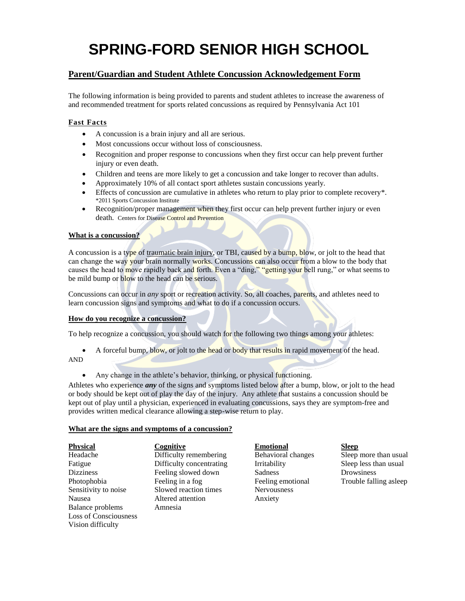# **SPRING-FORD SENIOR HIGH SCHOOL**

# **Parent/Guardian and Student Athlete Concussion Acknowledgement Form**

The following information is being provided to parents and student athletes to increase the awareness of and recommended treatment for sports related concussions as required by Pennsylvania Act 101

# **Fast Facts**

- A concussion is a brain injury and all are serious.
- Most concussions occur without loss of consciousness.
- Recognition and proper response to concussions when they first occur can help prevent further injury or even death.
- Children and teens are more likely to get a concussion and take longer to recover than adults.
- Approximately 10% of all contact sport athletes sustain concussions yearly.
- Effects of concussion are cumulative in athletes who return to play prior to complete recovery\*. \*2011 Sports Concussion Institute
- Recognition/proper management when they first occur can help prevent further injury or even death. Centers for Disease Control and Prevention

#### **What is a concussion?**

A concussion is a type of [traumatic brain injury,](http://www.cdc.gov/TraumaticBrainInjury/index.html) or TBI, caused by a bump, blow, or jolt to the head that can change the way your brain normally works. Concussions can also occur from a blow to the body that causes the head to move rapidly back and forth. Even a "ding," "getting your bell rung," or what seems to be mild bump or blow to the head can be serious.

Concussions can occur in *any* sport or recreation activity. So, all coaches, parents, and athletes need to learn concussion signs and symptoms and what to do if a concussion occurs.

#### **How do you recognize a concussion?**

To help recognize a concussion, you should watch for the following two things among your athletes:

- A forceful bump, blow, or jolt to the head or body that results in rapid movement of the head. AND
	- Any change in the athlete's behavior, thinking, or physical functioning.

Athletes who experience *any* of the signs and symptoms listed below after a bump, blow, or jolt to the head or body should be kept out of play the day of the injury. Any athlete that sustains a concussion should be kept out of play until a physician, experienced in evaluating concussions, says they are symptom-free and provides written medical clearance allowing a step-wise return to play.

#### **What are the signs and symptoms of a concussion?**

| <b>Physical</b>              | Cognitive       |
|------------------------------|-----------------|
| Headache                     | Difficulty rem  |
| Fatigue                      | Difficulty con  |
| <b>Dizziness</b>             | Feeling slowe   |
| Photophobia                  | Feeling in a fo |
| Sensitivity to noise         | Slowed reaction |
| Nausea                       | Altered attenti |
| <b>Balance problems</b>      | Amnesia         |
| <b>Loss of Consciousness</b> |                 |
| Vision difficulty            |                 |
|                              |                 |

**Physical Cognitive Emotional Sleep** d down Sadness Drowsiness on times Nervousness Ion Anxiety

hembering Behavioral changes Sleep more than usual Fatigue Diffriculty Changes Irritability Sleep less than usual photophobia Feeling emotional Trouble falling asleep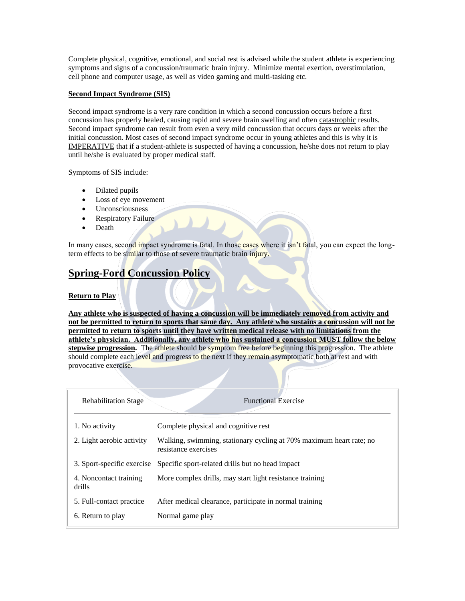Complete physical, cognitive, emotional, and social rest is advised while the student athlete is experiencing symptoms and signs of a concussion/traumatic brain injury. Minimize mental exertion, overstimulation, cell phone and computer usage, as well as video gaming and multi-tasking etc.

# **Second Impact Syndrome (SIS)**

Second impact syndrome is a very rare condition in which a second concussion occurs before a first concussion has properly healed, causing rapid and severe brain swelling and often catastrophic results. Second impact syndrome can result from even a very mild concussion that occurs days or weeks after the initial concussion. Most cases of second impact syndrome occur in young athletes and this is why it is IMPERATIVE that if a student-athlete is suspected of having a concussion, he/she does not return to play until he/she is evaluated by proper medical staff.

Symptoms of SIS include:

- Dilated pupils
- Loss of eye movement
- Unconsciousness
- Respiratory Failure
- Death

In many cases, second impact syndrome is fatal. In those cases where it isn't fatal, you can expect the longterm effects to be similar to those of severe traumatic brain injury.

# **Spring-Ford Concussion Policy**

# **Return to Play**

**Any athlete who is suspected of having a concussion will be immediately removed from activity and not be permitted to return to sports that same day. Any athlete who sustains a concussion will not be permitted to return to sports until they have written medical release with no limitations from the athlete's physician. Additionally, any athlete who has sustained a concussion MUST follow the below stepwise progression.** The athlete should be symptom free before beginning this progression. The athlete should complete each level and progress to the next if they remain asymptomatic both at rest and with provocative exercise.

| <b>Rehabilitation Stage</b>                                                                  | <b>Functional Exercise</b>                                                                  |  |
|----------------------------------------------------------------------------------------------|---------------------------------------------------------------------------------------------|--|
| 1. No activity                                                                               | Complete physical and cognitive rest                                                        |  |
| 2. Light aerobic activity                                                                    | Walking, swimming, stationary cycling at 70% maximum heart rate; no<br>resistance exercises |  |
| 3. Sport-specific exercise                                                                   | Specific sport-related drills but no head impact                                            |  |
| More complex drills, may start light resistance training<br>4. Noncontact training<br>drills |                                                                                             |  |
| 5. Full-contact practice                                                                     | After medical clearance, participate in normal training                                     |  |
| 6. Return to play                                                                            | Normal game play                                                                            |  |